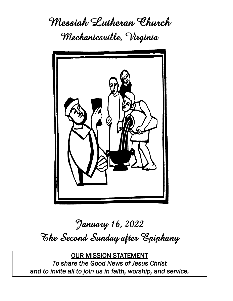**Messiah Lutheran Church Mechanicsville, Virginia**



# **January 16, 2022 The Second Sunday after Epiphany**

OUR MISSION STATEMENT *To share the Good News of Jesus Christ and to invite all to join us in faith, worship, and service.*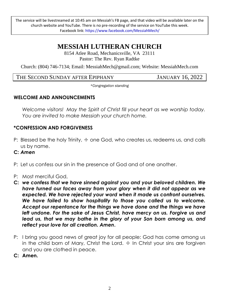The service will be livestreamed at 10:45 am on Messiah's FB page, and that video will be available later on the church website and YouTube. There is no pre-recording of the service on YouTube this week. Facebook link:<https://www.facebook.com/MessiahMech/>

# **MESSIAH LUTHERAN CHURCH**

8154 Atlee Road, Mechanicsville, VA 23111 Pastor: The Rev. Ryan Radtke

Church: (804) 746-7134; Email: MessiahMech@gmail.com; Website: [MessiahMech.c](http://www.mlcas.org/)om

THE SECOND SUNDAY AFTER EPIPHANY JANUARY 16, 2022

*\*Congregation standing*

#### **WELCOME AND ANNOUNCEMENTS**

*Welcome visitors! May the Spirit of Christ fill your heart as we worship today. You are invited to make Messiah your church home.*

#### **\*CONFESSION AND FORGIVENESS**

- P: Blessed be the holy Trinity,  $\pm$  one God, who creates us, redeems us, and calls us by name.
- **C:** *Amen*
- P: Let us confess our sin in the presence of God and of one another.
- P: Most merciful God,
- **C:** *we confess that we have sinned against you and your beloved children. We have turned our faces away from your glory when it did not appear as we expected. We have rejected your word when it made us confront ourselves. We have failed to show hospitality to those you called us to welcome. Accept our repentance for the things we have done and the things we have left undone. For the sake of Jesus Christ, have mercy on us. Forgive us and lead us, that we may bathe in the glory of your Son born among us, and reflect your love for all creation. Amen***.**
- P: I bring you good news of great joy for all people: God has come among us in the child born of Mary, Christ the Lord.  $+$  In Christ your sins are forgiven and you are clothed in peace.
- **C: Amen.**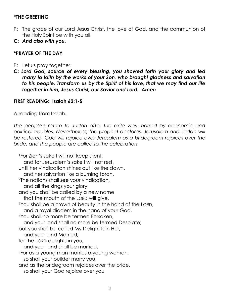#### **\*THE GREETING**

- P: The grace of our Lord Jesus Christ, the love of God, and the communion of the Holy Spirit be with you all.
- **C:** *And also with you.*

#### **\*PRAYER OF THE DAY**

- P: Let us pray together:
- **C:** *Lord God, source of every blessing, you showed forth your glory and led many to faith by the works of your Son, who brought gladness and salvation to his people. Transform us by the Spirit of his love, that we may find our life together in him, Jesus Christ, our Savior and Lord. Amen*

#### **FIRST READING: Isaiah 62:1-5**

A reading from Isaiah.

The people's return to Judah after the exile was marred by economic and political troubles. Nevertheless, the prophet declares, Jerusalem and Judah will *be restored. God will rejoice over Jerusalem as a bridegroom rejoices over the bride, and the people are called to the celebration.*

<sup>1</sup>For Zion's sake I will not keep silent, and for Jerusalem's sake I will not rest, until her vindication shines out like the dawn, and her salvation like a burning torch. <sup>2</sup>The nations shall see your vindication, and all the kings your glory; and you shall be called by a new name that the mouth of the LORD will give. <sup>3</sup>You shall be a crown of beauty in the hand of the LORD, and a royal diadem in the hand of your God. <sup>4</sup>You shall no more be termed Forsaken, and your land shall no more be termed Desolate; but you shall be called My Delight Is in Her, and your land Married; for the LORD delights in you, and your land shall be married. <sup>5</sup>For as a young man marries a young woman, so shall your builder marry you, and as the bridegroom rejoices over the bride, so shall your God rejoice over you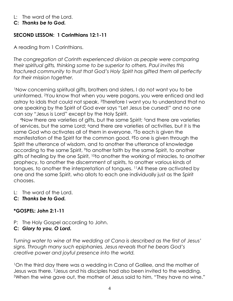L: The word of the Lord.

#### **C:** *Thanks be to God.*

## **SECOND LESSON: 1 Corinthians 12:1-11**

A reading from 1 Corinthians.

*The congregation at Corinth experienced division as people were comparing their spiritual gifts, thinking some to be superior to others. Paul invites this fractured community to trust that God's Holy Spirit has gifted them all perfectly for their mission together.*

<sup>1</sup>Now concerning spiritual gifts, brothers and sisters, I do not want you to be uninformed. 2You know that when you were pagans, you were enticed and led astray to idols that could not speak. 3Therefore I want you to understand that no one speaking by the Spirit of God ever says "Let Jesus be cursed!" and no one can say "Jesus is Lord" except by the Holy Spirit.

4Now there are varieties of gifts, but the same Spirit; <sup>5</sup>and there are varieties of services, but the same Lord; 6and there are varieties of activities, but it is the same God who activates all of them in everyone. 7To each is given the manifestation of the Spirit for the common good. 8To one is given through the Spirit the utterance of wisdom, and to another the utterance of knowledge according to the same Spirit, 9to another faith by the same Spirit, to another gifts of healing by the one Spirit, <sup>10</sup>to another the working of miracles, to another prophecy, to another the discernment of spirits, to another various kinds of tongues, to another the interpretation of tongues. 11All these are activated by one and the same Spirit, who allots to each one individually just as the Spirit chooses.

- L: The word of the Lord.
- **C:** *Thanks be to God.*

## **\*GOSPEL: John 2:1-11**

- P: The Holy Gospel according to John.
- **C:** *Glory to you, O Lord.*

*Turning water to wine at the wedding at Cana is described as the first of Jesus' signs. Through many such epiphanies, Jesus reveals that he bears God's creative power and joyful presence into the world.*

<sup>1</sup>On the third day there was a wedding in Cana of Galilee, and the mother of Jesus was there. 2Jesus and his disciples had also been invited to the wedding. 3When the wine gave out, the mother of Jesus said to him, "They have no wine."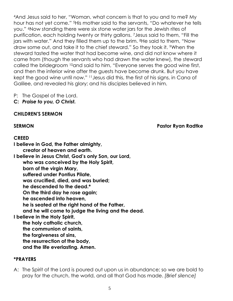<sup>4</sup>And Jesus said to her, "Woman, what concern is that to you and to me? My hour has not yet come." 5His mother said to the servants, "Do whatever he tells you." 6Now standing there were six stone water jars for the Jewish rites of purification, each holding twenty or thirty gallons. 7Jesus said to them, "Fill the jars with water." And they filled them up to the brim. 8He said to them, "Now draw some out, and take it to the chief steward." So they took it. 9When the steward tasted the water that had become wine, and did not know where it came from (though the servants who had drawn the water knew), the steward called the bridegroom <sup>10</sup>and said to him, "Everyone serves the good wine first, and then the inferior wine after the guests have become drunk. But you have kept the good wine until now." 11Jesus did this, the first of his signs, in Cana of Galilee, and revealed his glory; and his disciples believed in him.

- P: The Gospel of the Lord.
- **C:** *Praise to you, O Christ.*

#### **CHILDREN'S SERMON**

**SERMON Pastor Ryan Radtke**

#### **CREED**

**I believe in God, the Father almighty, creator of heaven and earth. I believe in Jesus Christ, God's only Son, our Lord, who was conceived by the Holy Spirit, born of the virgin Mary, suffered under Pontius Pilate, was crucified, died, and was buried; he descended to the dead.\* On the third day he rose again; he ascended into heaven, he is seated at the right hand of the Father, and he will come to judge the living and the dead. I believe in the Holy Spirit, the holy catholic church, the communion of saints, the forgiveness of sins, the resurrection of the body, and the life everlasting. Amen.**

#### **\*PRAYERS**

A: The Spirit of the Lord is poured out upon us in abundance; so we are bold to pray for the church, the world, and all that God has made. *[Brief silence]*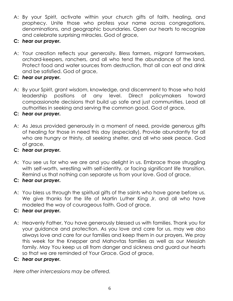- A: By your Spirit, activate within your church gifts of faith, healing, and prophecy. Unite those who profess your name across congregations, denominations, and geographic boundaries. Open our hearts to recognize and celebrate surprising miracles. God of grace,
- **C:** *hear our prayer.*
- A: Your creation reflects your generosity. Bless farmers, migrant farmworkers, orchard-keepers, ranchers, and all who tend the abundance of the land. Protect food and water sources from destruction, that all can eat and drink and be satisfied. God of grace,
- **C:** *hear our prayer.*
- A: By your Spirit, grant wisdom, knowledge, and discernment to those who hold leadership positions at any level. Direct policymakers toward compassionate decisions that build up safe and just communities. Lead all authorities in seeking and serving the common good. God of grace,
- **C:** *hear our prayer.*
- A: As Jesus provided generously in a moment of need, provide generous gifts of healing for those in need this day (especially). Provide abundantly for all who are hungry or thirsty, all seeking shelter, and all who seek peace. God of grace,
- **C:** *hear our prayer.*
- A: You see us for who we are and you delight in us. Embrace those struggling with self-worth, wrestling with self-identity, or facing significant life transition. Remind us that nothing can separate us from your love. God of grace,
- **C:** *hear our prayer.*
- A: You bless us through the spiritual gifts of the saints who have gone before us. We give thanks for the life of Martin Luther King Jr. and all who have modeled the way of courageous faith. God of grace,

#### **C:** *hear our prayer.*

- A: Heavenly Father, You have generously blessed us with families. Thank you for your guidance and protection. As you love and care for us, may we also always love and care for our families and keep them in our prayers. We pray this week for the Knepper and Mahovtas families as well as our Messiah family. May You keep us all from danger and sickness and guard our hearts so that we are reminded of Your Grace. God of grace,
- **C:** *hear our prayer.*

*Here other intercessions may be offered.*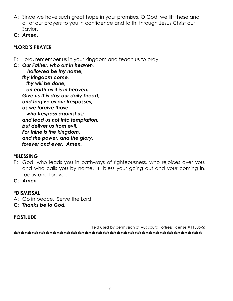- A: Since we have such great hope in your promises, O God, we lift these and all of our prayers to you in confidence and faith; through Jesus Christ our Savior.
- **C:** *Amen***.**

## **\*LORD'S PRAYER**

P: Lord, remember us in your kingdom and teach us to pray.

**C:** *Our Father, who art in heaven, hallowed be thy name, thy kingdom come, thy will be done, on earth as it is in heaven. Give us this day our daily bread; and forgive us our trespasses, as we forgive those who trespass against us; and lead us not into temptation, but deliver us from evil. For thine is the kingdom, and the power, and the glory, forever and ever. Amen.*

#### **\*BLESSING**

- P: God, who leads you in pathways of righteousness, who rejoices over you, and who calls you by name,  $+$  bless your going out and your coming in, today and forever.
- **C:** *Amen*

#### **\*DISMISSAL**

- A: Go in peace. Serve the Lord.
- **C:** *Thanks be to God.*

## **POSTLUDE**

(Text used by permission of Augsburg Fortress license #11886-S) \*\*\*\*\*\*\*\*\*\*\*\*\*\*\*\*\*\*\*\*\*\*\*\*\*\*\*\*\*\*\*\*\*\*\*\*\*\*\*\*\*\*\*\*\*\*\*\*\*\*\*\*\*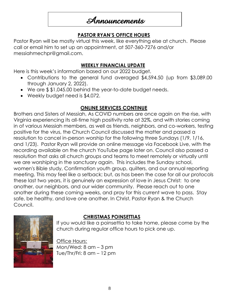# **Announcements**

## **PASTOR RYAN'S OFFICE HOURS**

Pastor Ryan will be mostly virtual this week, like everything else at church. Please call or email him to set up an appointment, at 507-360-7276 and/or [messiahmechpr@gmail.com.](mailto:messiahmechpr@gmail.com)

#### **WEEKLY FINANCIAL UPDATE**

Here is this week's information based on our 2022 budget.

- Contributions to the general fund averaged \$4,594.50 (up from \$3,089.00 through January 2, 2022).
- We are \$ \$1,045.00 behind the year-to-date budget needs.
- Weekly budget need is \$4,072.

# **ONLINE SERVICES CONTINUE**

Brothers and Sisters of Messiah, As COVID numbers are once again on the rise, with Virginia experiencing its all-time high positivity rate at 32%, and with stories coming in of various Messiah members, as well as friends, neighbors, and co-workers, testing positive for the virus, the Church Council discussed the matter and passed a resolution to cancel in-person worship for the following three Sundays (1/9, 1/16, and 1/23). Pastor Ryan will provide an online message via Facebook Live, with the recording available on the church YouTube page later on. Council also passed a resolution that asks all church groups and teams to meet remotely or virtually until we are worshiping in the sanctuary again. This includes the Sunday school, women's Bible study, Confirmation youth group, quilters, and our annual reporting meeting. This may feel like a setback; but, as has been the case for all our protocols these last two years, it is genuinely an expression of love in Jesus Christ: to one another, our neighbors, and our wider community. Please reach out to one another during these coming weeks, and pray for this current wave to pass. Stay safe, be healthy, and love one another. In Christ, Pastor Ryan & the Church Council.



## **CHRISTMAS POINSETTIAS**

If you would like a poinsettia to take home, please come by the church during regular office hours to pick one up.

Office Hours: Mon/Wed: 8 am – 3 pm Tue/Thr/Fri: 8 am – 12 pm